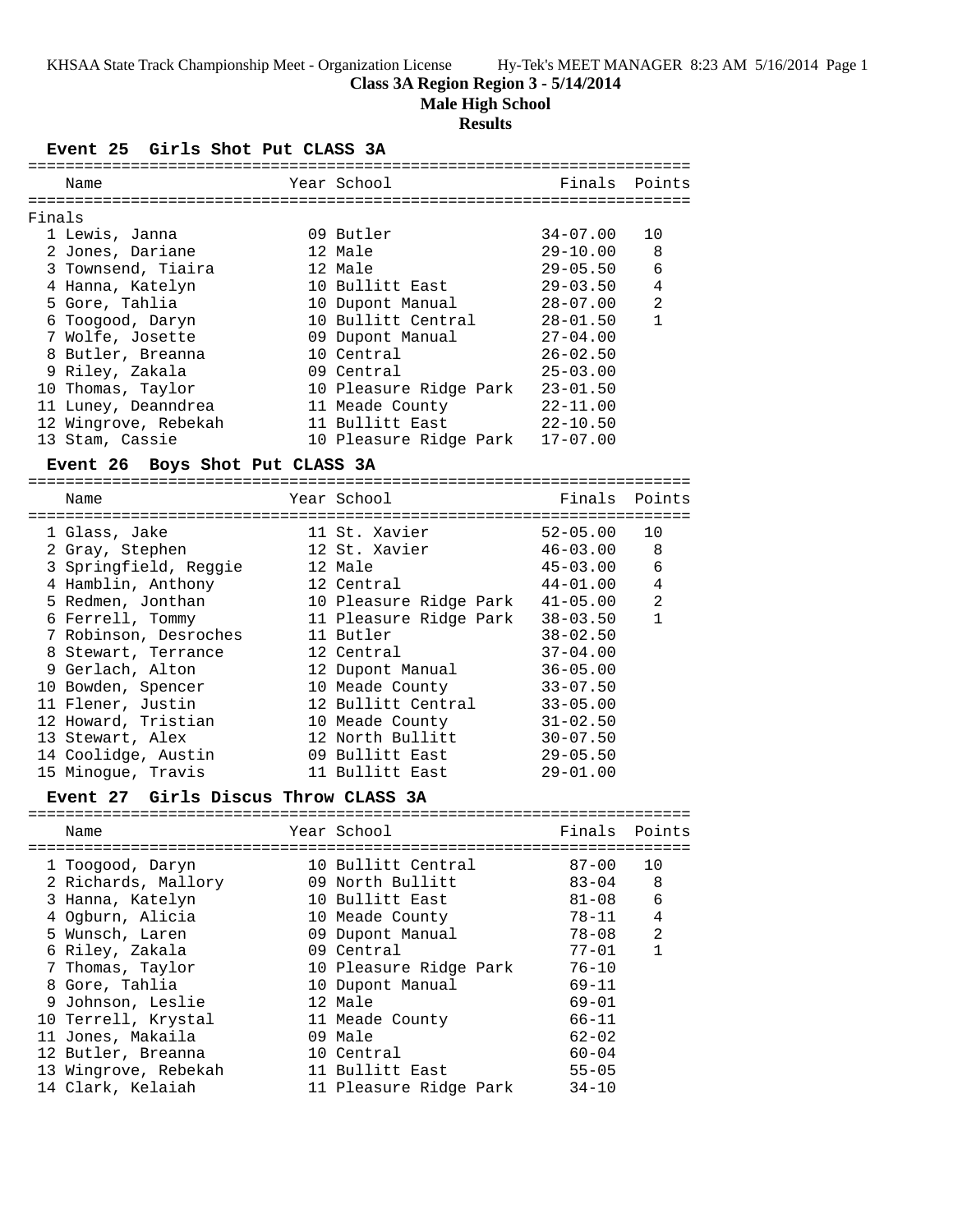## **Class 3A Region Region 3 - 5/14/2014**

**Male High School**

### **Results**

**Event 25 Girls Shot Put CLASS 3A**

| Event 25<br>GILIS SUOT LUI CTURSS |                                                |  |                        |              |                |  |  |
|-----------------------------------|------------------------------------------------|--|------------------------|--------------|----------------|--|--|
|                                   | Name                                           |  | Year School            | Finals       | Points         |  |  |
|                                   |                                                |  |                        |              |                |  |  |
| Finals                            |                                                |  |                        |              |                |  |  |
|                                   | 1 Lewis, Janna                                 |  | 09 Butler              | $34 - 07.00$ | 10             |  |  |
|                                   | 2 Jones, Dariane                               |  | 12 Male                | $29 - 10.00$ | 8              |  |  |
|                                   | 3 Townsend, Tiaira                             |  | 12 Male                | $29 - 05.50$ | 6              |  |  |
|                                   | 4 Hanna, Katelyn                               |  | 10 Bullitt East        | $29 - 03.50$ | 4              |  |  |
|                                   | 5 Gore, Tahlia                                 |  | 10 Dupont Manual       | $28 - 07.00$ | 2              |  |  |
|                                   | 6 Toogood, Daryn                               |  | 10 Bullitt Central     | $28 - 01.50$ | $\mathbf{1}$   |  |  |
|                                   | 7 Wolfe, Josette                               |  | 09 Dupont Manual       | $27 - 04.00$ |                |  |  |
|                                   | 8 Butler, Breanna                              |  | 10 Central             | $26 - 02.50$ |                |  |  |
|                                   | 9 Riley, Zakala                                |  | 09 Central             | $25 - 03.00$ |                |  |  |
|                                   | 10 Thomas, Taylor                              |  | 10 Pleasure Ridge Park | $23 - 01.50$ |                |  |  |
|                                   | 11 Luney, Deanndrea                            |  | 11 Meade County        | $22 - 11.00$ |                |  |  |
|                                   | 12 Wingrove, Rebekah                           |  | 11 Bullitt East        | $22 - 10.50$ |                |  |  |
|                                   | 13 Stam, Cassie                                |  | 10 Pleasure Ridge Park | $17 - 07.00$ |                |  |  |
|                                   | Boys Shot Put CLASS 3A<br><b>Event 26</b>      |  |                        |              |                |  |  |
|                                   |                                                |  |                        |              |                |  |  |
|                                   | Name                                           |  | Year School            | Finals       | Points         |  |  |
|                                   |                                                |  |                        |              |                |  |  |
|                                   | 1 Glass, Jake                                  |  | 11 St. Xavier          | $52 - 05.00$ | 10             |  |  |
|                                   | 2 Gray, Stephen                                |  | 12 St. Xavier          | $46 - 03.00$ | 8              |  |  |
|                                   | 3 Springfield, Reggie                          |  | 12 Male                | $45 - 03.00$ | 6              |  |  |
|                                   | 4 Hamblin, Anthony                             |  | 12 Central             | $44 - 01.00$ | 4              |  |  |
|                                   | 5 Redmen, Jonthan                              |  | 10 Pleasure Ridge Park | $41 - 05.00$ | 2              |  |  |
|                                   | 6 Ferrell, Tommy                               |  | 11 Pleasure Ridge Park | $38 - 03.50$ | $\mathbf{1}$   |  |  |
|                                   | 7 Robinson, Desroches                          |  | 11 Butler              | $38 - 02.50$ |                |  |  |
|                                   | 8 Stewart, Terrance                            |  | 12 Central             | $37 - 04.00$ |                |  |  |
|                                   | 9 Gerlach, Alton                               |  | 12 Dupont Manual       | $36 - 05.00$ |                |  |  |
|                                   | 10 Bowden, Spencer                             |  | 10 Meade County        | $33 - 07.50$ |                |  |  |
|                                   | 11 Flener, Justin                              |  | 12 Bullitt Central     | $33 - 05.00$ |                |  |  |
|                                   | 12 Howard, Tristian                            |  | 10 Meade County        | $31 - 02.50$ |                |  |  |
|                                   | 13 Stewart, Alex                               |  | 12 North Bullitt       | $30 - 07.50$ |                |  |  |
|                                   | 14 Coolidge, Austin                            |  | 09 Bullitt East        | $29 - 05.50$ |                |  |  |
|                                   | 15 Minogue, Travis                             |  | 11 Bullitt East        | $29 - 01.00$ |                |  |  |
|                                   | Girls Discus Throw CLASS 3A<br><b>Event 27</b> |  |                        |              |                |  |  |
|                                   |                                                |  |                        |              |                |  |  |
|                                   | Name                                           |  | Year School            | Finals       | Points         |  |  |
|                                   | 1 Toogood, Daryn                               |  | 10 Bullitt Central     | $87 - 00$    | 10             |  |  |
|                                   | 2 Richards, Mallory                            |  | 09 North Bullitt       | $83 - 04$    | 8              |  |  |
|                                   | 3 Hanna, Katelyn                               |  | 10 Bullitt East        | $81 - 08$    | 6              |  |  |
|                                   | 4 Ogburn, Alicia                               |  | 10 Meade County        | 78-11        | 4              |  |  |
|                                   | 5 Wunsch, Laren                                |  | 09 Dupont Manual       | $78 - 08$    | $\overline{a}$ |  |  |
|                                   | 6 Riley, Zakala                                |  | 09 Central             | $77 - 01$    | $\mathbf{1}$   |  |  |
|                                   | 7 Thomas, Taylor                               |  | 10 Pleasure Ridge Park | $76 - 10$    |                |  |  |
|                                   | 8 Gore, Tahlia                                 |  | 10 Dupont Manual       | $69 - 11$    |                |  |  |
|                                   | 9 Johnson, Leslie                              |  | 12 Male                | $69 - 01$    |                |  |  |
|                                   |                                                |  |                        |              |                |  |  |

 10 Terrell, Krystal 11 Meade County 66-11 11 Jones, Makaila 09 Male 62-02 12 Butler, Breanna 10 Central 60-04 13 Wingrove, Rebekah 11 Bullitt East 55-05 14 Clark, Kelaiah 11 Pleasure Ridge Park 34-10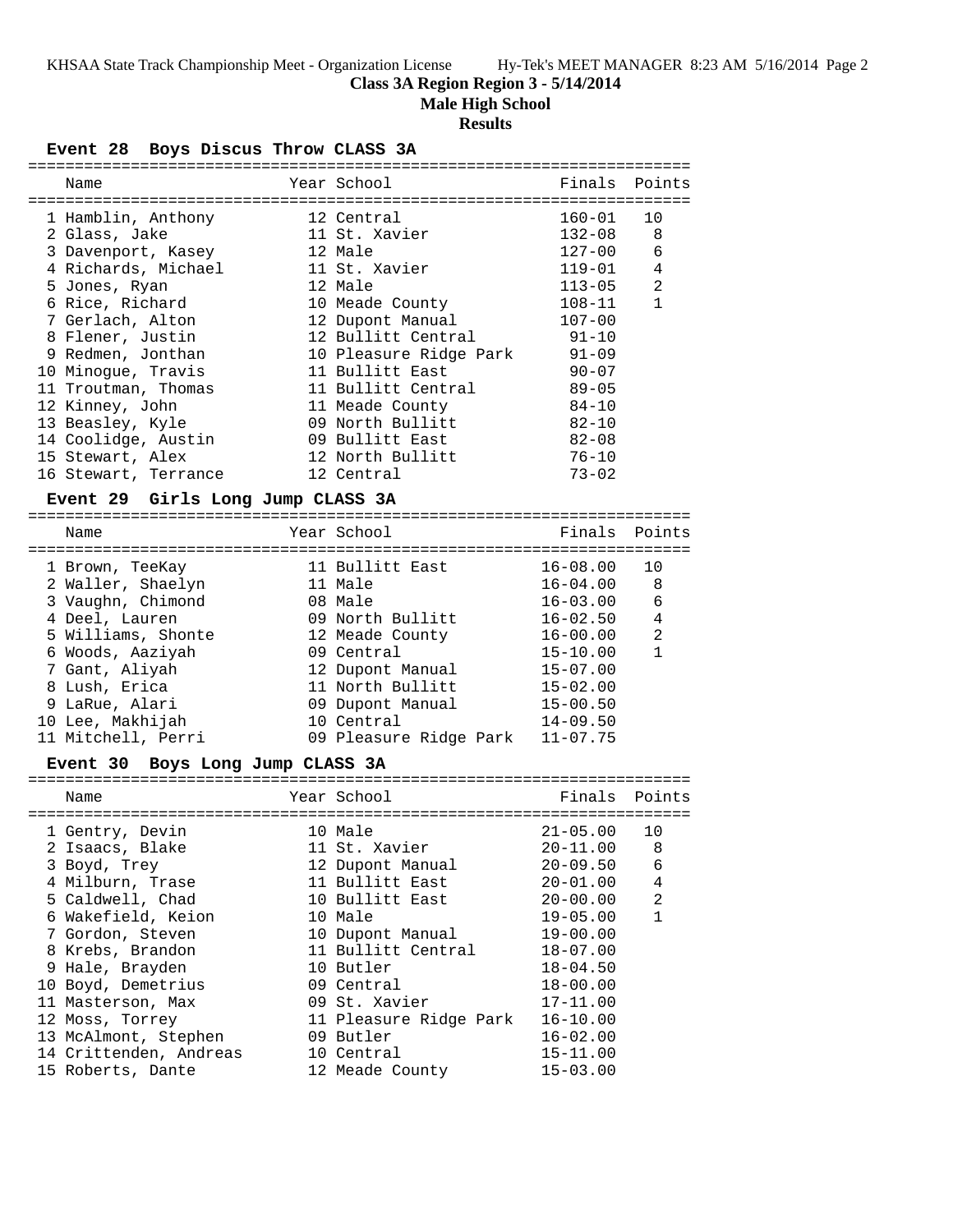**Class 3A Region Region 3 - 5/14/2014**

**Male High School**

# **Results**

**Event 28 Boys Discus Throw CLASS 3A**

| :==========                                |                         | =========================  |              |                |
|--------------------------------------------|-------------------------|----------------------------|--------------|----------------|
| Name                                       |                         | Year School                | Finals       | Points         |
|                                            |                         |                            |              |                |
| 1 Hamblin, Anthony                         |                         | 12 Central                 | $160 - 01$   | 10             |
| 2 Glass, Jake                              |                         | 11 St. Xavier              | $132 - 08$   | 8              |
| 3 Davenport, Kasey                         |                         | 12 Male                    | $127 - 00$   | 6              |
| 4 Richards, Michael                        |                         | 11 St. Xavier              | $119 - 01$   | 4              |
| 5 Jones, Ryan                              |                         | 12 Male                    | $113 - 05$   | $\overline{a}$ |
| 6 Rice, Richard                            |                         | 10 Meade County            | $108 - 11$   | $\mathbf{1}$   |
| 7 Gerlach, Alton                           |                         | 12 Dupont Manual           | $107 - 00$   |                |
| 8 Flener, Justin                           |                         | 12 Bullitt Central         | $91 - 10$    |                |
| 9 Redmen, Jonthan                          |                         | 10 Pleasure Ridge Park     | $91 - 09$    |                |
| 10 Minogue, Travis                         |                         | 11 Bullitt East            | $90 - 07$    |                |
| 11 Troutman, Thomas                        |                         | 11 Bullitt Central         | $89 - 05$    |                |
| 12 Kinney, John                            |                         | 11 Meade County            | $84 - 10$    |                |
| 13 Beasley, Kyle                           |                         | 09 North Bullitt           | $82 - 10$    |                |
| 14 Coolidge, Austin                        |                         | 09 Bullitt East            | $82 - 08$    |                |
| 15 Stewart, Alex                           |                         | 12 North Bullitt           | $76 - 10$    |                |
| 16 Stewart, Terrance                       |                         | 12 Central                 | $73 - 02$    |                |
| Event 29 Girls Long Jump CLASS 3A          |                         |                            |              |                |
| Name                                       |                         | Year School                | Finals       | Points         |
|                                            |                         |                            |              |                |
| 1 Brown, TeeKay                            |                         | 11 Bullitt East            | $16 - 08.00$ | 10             |
| 2 Waller, Shaelyn                          |                         | 11 Male                    | $16 - 04.00$ | 8              |
| 3 Vaughn, Chimond                          |                         | 08 Male                    | $16 - 03.00$ | 6              |
| 4 Deel, Lauren                             |                         | 09 North Bullitt           | $16 - 02.50$ | 4              |
| 5 Williams, Shonte                         |                         | 12 Meade County            | $16 - 00.00$ | $\overline{a}$ |
| 6 Woods, Aaziyah                           |                         | 09 Central                 | $15 - 10.00$ | $\mathbf{1}$   |
| 7 Gant, Aliyah                             |                         | 12 Dupont Manual           | $15 - 07.00$ |                |
| 8 Lush, Erica                              |                         | 11 North Bullitt           | $15 - 02.00$ |                |
| 9 LaRue, Alari                             |                         | 09 Dupont Manual           | $15 - 00.50$ |                |
| 10 Lee, Makhijah                           |                         | 10 Central                 | $14 - 09.50$ |                |
| 11 Mitchell, Perri                         |                         | 09 Pleasure Ridge Park     | $11 - 07.75$ |                |
| Boys Long Jump CLASS 3A<br><b>Event 30</b> |                         |                            |              |                |
| Name                                       |                         | Year School                | Finals       | Points         |
|                                            | :============= <b>:</b> | :========================= |              |                |
| 1 Gentry, Devin                            |                         | 10 Male                    | $21 - 05.00$ | 10             |
| 2 Isaacs, Blake                            |                         | 11 St. Xavier              | $20 - 11.00$ | 8              |
| 3 Boyd, Trey                               |                         | 12 Dupont Manual           | $20 - 09.50$ | 6              |
| 4 Milburn, Trase                           |                         | 11 Bullitt East            | $20 - 01.00$ | 4              |
| 5 Caldwell, Chad                           |                         | 10 Bullitt East            | $20 - 00.00$ | 2              |
| 6 Wakefield, Keion                         |                         | 10 Male                    | $19 - 05.00$ | $\mathbf{1}$   |
| 7 Gordon, Steven                           |                         | 10 Dupont Manual           | $19 - 00.00$ |                |
| 8 Krebs, Brandon                           |                         | 11 Bullitt Central         | $18 - 07.00$ |                |
| 9 Hale, Brayden                            |                         | 10 Butler                  | $18 - 04.50$ |                |
| 10 Boyd, Demetrius                         |                         | 09 Central                 | $18 - 00.00$ |                |
| 11 Masterson, Max                          |                         | 09 St. Xavier              | $17 - 11.00$ |                |
| 12 Moss, Torrey                            |                         | 11 Pleasure Ridge Park     | $16 - 10.00$ |                |
| 13 McAlmont, Stephen                       |                         | 09 Butler                  | $16 - 02.00$ |                |
| 14 Crittenden, Andreas                     |                         | 10 Central                 | $15 - 11.00$ |                |
| 15 Roberts, Dante                          |                         | 12 Meade County            | $15 - 03.00$ |                |
|                                            |                         |                            |              |                |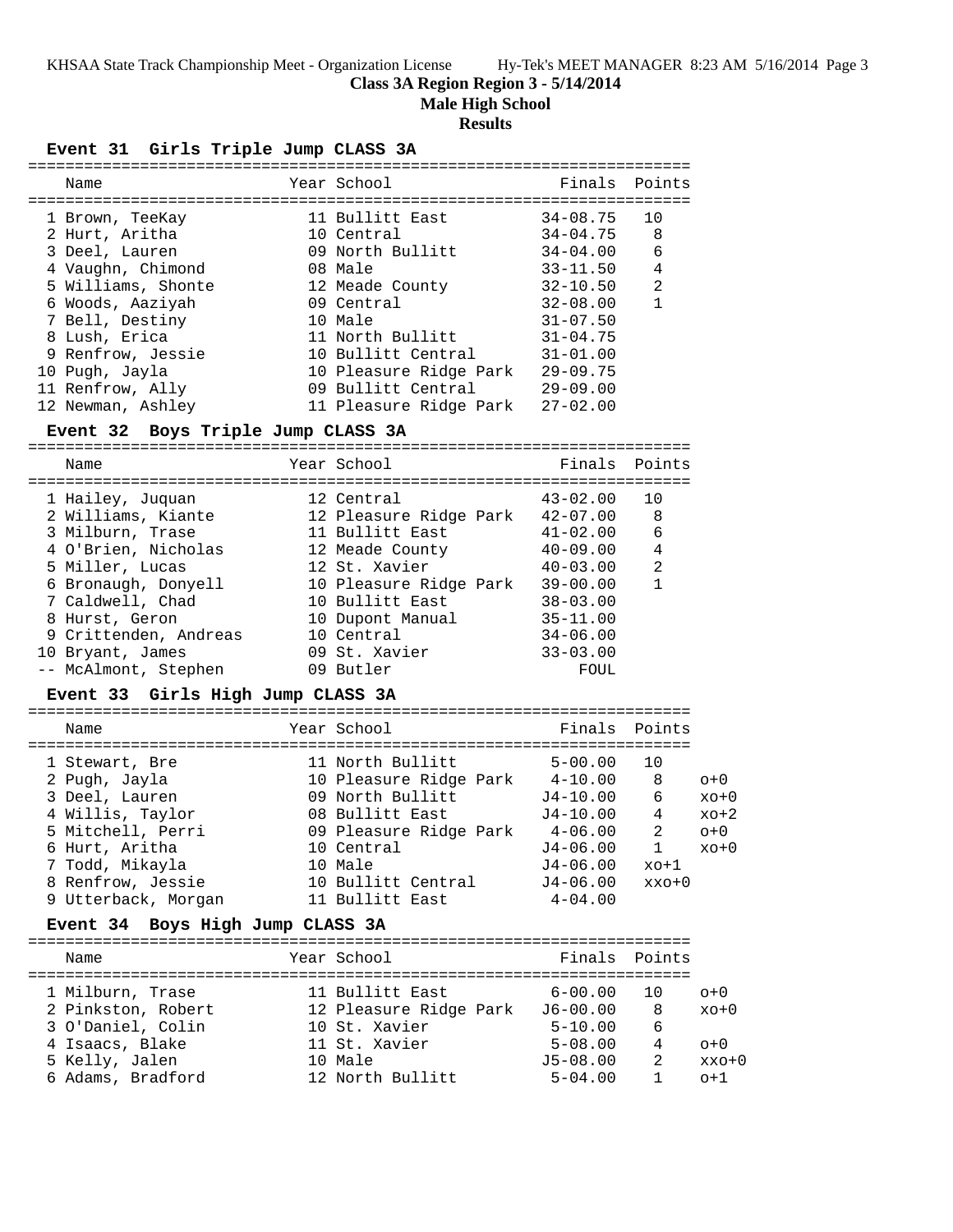**Class 3A Region Region 3 - 5/14/2014**

**Male High School**

## **Results**

### **Event 31 Girls Triple Jump CLASS 3A**

| Name                                                                                                                                                                                                              | Year School                                                                                                                                                                                        | Finals Points                                                                                                                                                                |                             |
|-------------------------------------------------------------------------------------------------------------------------------------------------------------------------------------------------------------------|----------------------------------------------------------------------------------------------------------------------------------------------------------------------------------------------------|------------------------------------------------------------------------------------------------------------------------------------------------------------------------------|-----------------------------|
| 1 Brown, TeeKay<br>2 Hurt, Aritha<br>3 Deel, Lauren<br>4 Vaughn, Chimond<br>5 Williams, Shonte<br>6 Woods, Aaziyah<br>7 Bell, Destiny<br>8 Lush, Erica<br>9 Renfrow, Jessie<br>10 Pugh, Jayla<br>11 Renfrow, Ally | 11 Bullitt East<br>10 Central<br>09 North Bullitt<br>08 Male<br>12 Meade County<br>09 Central<br>10 Male<br>11 North Bullitt<br>10 Bullitt Central<br>10 Pleasure Ridge Park<br>09 Bullitt Central | $34 - 08.75$<br>$34 - 04.75$<br>$34 - 04.00$<br>$33 - 11.50$<br>$32 - 10.50$<br>$32 - 08.00$<br>$31 - 07.50$<br>$31 - 04.75$<br>$31 - 01.00$<br>$29 - 09.75$<br>$29 - 09.00$ | 10<br>8<br>6<br>4<br>2<br>1 |
| 12 Newman, Ashley                                                                                                                                                                                                 | 11 Pleasure Ridge Park                                                                                                                                                                             | $27 - 02.00$                                                                                                                                                                 |                             |

#### **Event 32 Boys Triple Jump CLASS 3A**

=======================================================================

| Name                  | Year School            | Finals       | Points         |
|-----------------------|------------------------|--------------|----------------|
| 1 Hailey, Juquan      | 12 Central             | $43 - 02.00$ | 10             |
| 2 Williams, Kiante    | 12 Pleasure Ridge Park | $42 - 07.00$ | 8              |
| 3 Milburn, Trase      | 11 Bullitt East        | $41 - 02.00$ | 6              |
| 4 O'Brien, Nicholas   | 12 Meade County        | $40 - 09.00$ | 4              |
| 5 Miller, Lucas       | 12 St. Xavier          | $40 - 03.00$ | $\mathfrak{D}$ |
| 6 Bronaugh, Donyell   | 10 Pleasure Ridge Park | $39 - 00.00$ | 1              |
| 7 Caldwell, Chad      | 10 Bullitt East        | $38 - 03.00$ |                |
| 8 Hurst, Geron        | 10 Dupont Manual       | $35 - 11.00$ |                |
| 9 Crittenden, Andreas | 10 Central             | $34 - 06.00$ |                |
| 10 Bryant, James      | 09 St. Xavier          | $33 - 03.00$ |                |
| -- McAlmont, Stephen  | 09 Butler              | FOUL         |                |

#### **Event 33 Girls High Jump CLASS 3A**

=======================================================================

| Name                | Year School            | Finals       | Points       |        |
|---------------------|------------------------|--------------|--------------|--------|
|                     |                        |              |              |        |
| 1 Stewart, Bre      | 11 North Bullitt       | $5 - 00.00$  | 10           |        |
| 2 Pugh, Jayla       | 10 Pleasure Ridge Park | $4 - 10.00$  | 8            | $O+O$  |
| 3 Deel, Lauren      | 09 North Bullitt       | $J4 - 10.00$ | 6            | $xo+0$ |
| 4 Willis, Taylor    | 08 Bullitt East        | $J4 - 10.00$ | 4            | $xo+2$ |
| 5 Mitchell, Perri   | 09 Pleasure Ridge Park | $4 - 06.00$  | 2            | $O+O$  |
| 6 Hurt, Aritha      | 10 Central             | $J4-06.00$   | $\mathbf{1}$ | $xo+0$ |
| 7 Todd, Mikayla     | 10 Male                | $J4 - 06.00$ | $xo+1$       |        |
| 8 Renfrow, Jessie   | 10 Bullitt Central     | $J4 - 06.00$ | $xxo+0$      |        |
| 9 Utterback, Morgan | 11 Bullitt East        | $4 - 04.00$  |              |        |
|                     |                        |              |              |        |

#### **Event 34 Boys High Jump CLASS 3A**

| Name               | Year School            | Finals Points |     |         |
|--------------------|------------------------|---------------|-----|---------|
| 1 Milburn, Trase   | 11 Bullitt East        | $6 - 00.00$   | 1 O | $O+O$   |
| 2 Pinkston, Robert | 12 Pleasure Ridge Park | $J6 - 00.00$  | 8   | $xo+0$  |
| 3 O'Daniel, Colin  | 10 St. Xavier          | $5 - 10.00$   | 6   |         |
| 4 Isaacs, Blake    | 11 St. Xavier          | $5 - 08.00$   | 4   | $n+0$   |
| 5 Kelly, Jalen     | 10 Male                | $J5 - 08.00$  | 2   | $xxo+0$ |
| 6 Adams, Bradford  | 12 North Bullitt       | $5 - 04.00$   |     | $o+1$   |